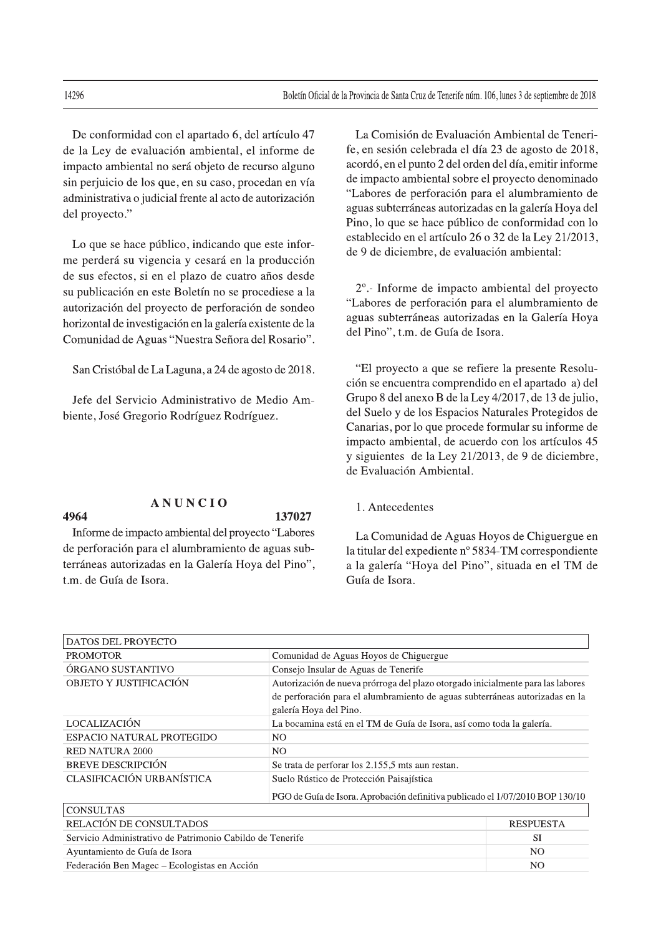De conformidad con el apartado 6, del artículo 47 de la Ley de evaluación ambiental, el informe de impacto ambiental no será objeto de recurso alguno sin perjuicio de los que, en su caso, procedan en vía administrativa o judicial frente al acto de autorización del proyecto."

Lo que se hace público, indicando que este informe perderá su vigencia y cesará en la producción de sus efectos, si en el plazo de cuatro años desde su publicación en este Boletín no se procediese a la autorización del proyecto de perforación de sondeo horizontal de investigación en la galería existente de la Comunidad de Aguas "Nuestra Señora del Rosario".

San Cristóbal de La Laguna, a 24 de agosto de 2018.

Jefe del Servicio Administrativo de Medio Ambiente, José Gregorio Rodríguez Rodríguez.

La Comisión de Evaluación Ambiental de Tenerife, en sesión celebrada el día 23 de agosto de 2018, acordó, en el punto 2 del orden del día, emitir informe de impacto ambiental sobre el proyecto denominado "Labores de perforación para el alumbramiento de aguas subterráneas autorizadas en la galería Hoya del Pino, lo que se hace público de conformidad con lo establecido en el artículo 26 o 32 de la Ley 21/2013, de 9 de diciembre, de evaluación ambiental:

2° .- Informe de impacto ambiental del proyecto "Labores de perforación para el alumbramiento de aguas subterráneas autorizadas en la Galería Hoya del Pino", t.m. de Guía de Isora.

"El proyecto a que se refiere la presente Resolución se encuentra comprendido en el apartado a) del Grupo 8 del anexo B de la Ley 4/2017, de 13 de julio, del Suelo y de los Espacios Naturales Protegidos de Canarias, por lo que procede formular su informe de impacto ambiental, de acuerdo con los artículos 45 y siguientes de la Ley 21/2013, de 9 de diciembre, de Evaluación Ambiental.

# **ANUNCIO**

## 4964

## 137027

Informe de impacto ambiental del proyecto "Labores de perforación para el alumbramiento de aguas subterráneas autorizadas en la Galería Hoya del Pino", t.m. de Guía de Isora.

#### 1. Antecedentes

La Comunidad de Aguas Hoyos de Chiguergue en la titular del expediente nº 5834-TM correspondiente a la galería "Hoya del Pino", situada en el TM de Guía de Isora.

| <b>DATOS DEL PROYECTO</b>                                 |                                                                                                                                                                                           |                  |
|-----------------------------------------------------------|-------------------------------------------------------------------------------------------------------------------------------------------------------------------------------------------|------------------|
| <b>PROMOTOR</b>                                           | Comunidad de Aguas Hoyos de Chiguergue                                                                                                                                                    |                  |
| ÓRGANO SUSTANTIVO                                         | Consejo Insular de Aguas de Tenerife                                                                                                                                                      |                  |
| OBJETO Y JUSTIFICACIÓN                                    | Autorización de nueva prórroga del plazo otorgado inicialmente para las labores<br>de perforación para el alumbramiento de aguas subterráneas autorizadas en la<br>galería Hoya del Pino. |                  |
| LOCALIZACIÓN                                              | La bocamina está en el TM de Guía de Isora, así como toda la galería.                                                                                                                     |                  |
| ESPACIO NATURAL PROTEGIDO                                 | N <sub>O</sub>                                                                                                                                                                            |                  |
| <b>RED NATURA 2000</b>                                    | N <sub>O</sub>                                                                                                                                                                            |                  |
| <b>BREVE DESCRIPCIÓN</b>                                  | Se trata de perforar los 2.155,5 mts aun restan.                                                                                                                                          |                  |
| <b>CLASIFICACIÓN URBANÍSTICA</b>                          | Suelo Rústico de Protección Paisajística                                                                                                                                                  |                  |
|                                                           | PGO de Guía de Isora. Aprobación definitiva publicado el 1/07/2010 BOP 130/10                                                                                                             |                  |
| <b>CONSULTAS</b>                                          |                                                                                                                                                                                           |                  |
| RELACIÓN DE CONSULTADOS                                   |                                                                                                                                                                                           | <b>RESPUESTA</b> |
| Servicio Administrativo de Patrimonio Cabildo de Tenerife |                                                                                                                                                                                           | <b>SI</b>        |
| Ayuntamiento de Guía de Isora                             |                                                                                                                                                                                           | NO.              |
| Federación Ben Magec – Ecologistas en Acción              |                                                                                                                                                                                           | N <sub>O</sub>   |

14296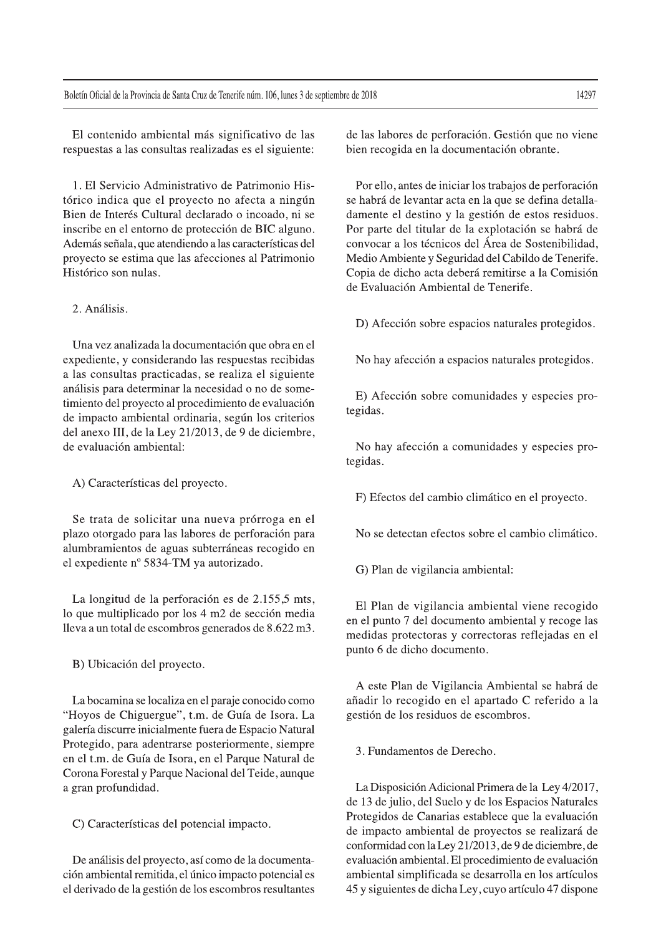El contenido ambiental más significativo de las respuestas a las consultas realizadas es el siguiente:

1. El Servicio Administrativo de Patrimonio Histórico indica que el proyecto no afecta a ningún Bien de Interés Cultural declarado o incoado, ni se inscribe en el entorno de protección de BIC alguno. Además señala, que atendiendo a las características del proyecto se estima que las afecciones al Patrimonio Histórico son nulas.

### 2. Análisis.

Una vez analizada la documentación que obra en el expediente, y considerando las respuestas recibidas a las consultas practicadas, se realiza el siguiente análisis para determinar la necesidad o no de sometimiento del proyecto al procedimiento de evaluación de impacto ambiental ordinaria, según los criterios del anexo III, de la Ley 21/2013, de 9 de diciembre, de evaluación ambiental·

A) Características del proyecto.

Se trata de solicitar una nueva prórroga en el plazo otorgado para las labores de perforación para alumbramientos de aguas subterráneas recogido en el expediente nº 5834-TM ya autorizado.

La longitud de la perforación es de 2.155,5 mts, lo que multiplicado por los 4 m2 de sección media lleva a un total de escombros generados de 8.622 m3.

B) Ubicación del proyecto.

La bocamina se localiza en el paraje conocido como "Hoyos de Chiguergue", t.m. de Guía de Isora. La galería discurre inicialmente fuera de Espacio Natural Protegido, para adentrarse posteriormente, siempre en el t.m. de Guía de Isora, en el Parque Natural de Corona Forestal y Parque Nacional del Teide, aunque a gran profundidad.

C) Características del potencial impacto.

De análisis del proyecto, así como de la documentación ambiental remitida, el único impacto potencial es el derivado de la gestión de los escombros resultantes de las labores de perforación. Gestión que no viene bien recogida en la documentación obrante.

Por ello, antes de iniciar los trabajos de perforación se habrá de levantar acta en la que se defina detalladamente el destino y la gestión de estos residuos. Por parte del titular de la explotación se habrá de convocar a los técnicos del Área de Sostenibilidad, Medio Ambiente y Seguridad del Cabildo de Tenerife. Copia de dicho acta deberá remitirse a la Comisión de Evaluación Ambiental de Tenerife.

D) Afección sobre espacios naturales protegidos.

No hay afección a espacios naturales protegidos.

E) Afección sobre comunidades y especies protegidas.

No hay afección a comunidades y especies protegidas.

F) Efectos del cambio climático en el proyecto.

No se detectan efectos sobre el cambio climático.

G) Plan de vigilancia ambiental:

El Plan de vigilancia ambiental viene recogido en el punto 7 del documento ambiental y recoge las medidas protectoras y correctoras reflejadas en el punto 6 de dicho documento.

A este Plan de Vigilancia Ambiental se habrá de añadir lo recogido en el apartado C referido a la gestión de los residuos de escombros.

3. Fundamentos de Derecho.

La Disposición Adicional Primera de la Ley 4/2017, de 13 de julio, del Suelo y de los Espacios Naturales Protegidos de Canarias establece que la evaluación de impacto ambiental de proyectos se realizará de conformidad con la Ley 21/2013, de 9 de diciembre, de evaluación ambiental. El procedimiento de evaluación ambiental simplificada se desarrolla en los artículos 45 y siguientes de dicha Ley, cuyo artículo 47 dispone